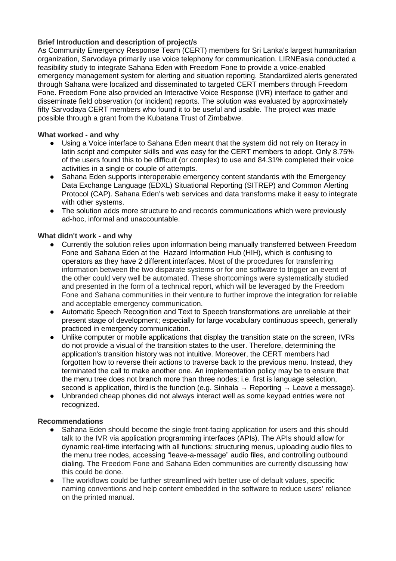# **Brief Introduction and description of project/s**

As Community Emergency Response Team (CERT) members for Sri Lanka's largest humanitarian organization, Sarvodaya primarily use voice telephony for communication. LIRNEasia conducted a feasibility study to integrate Sahana Eden with Freedom Fone to provide a voice-enabled emergency management system for alerting and situation reporting. Standardized alerts generated through Sahana were localized and disseminated to targeted CERT members through Freedom Fone. Freedom Fone also provided an Interactive Voice Response (IVR) interface to gather and disseminate field observation (or incident) reports. The solution was evaluated by approximately fifty Sarvodaya CERT members who found it to be useful and usable. The project was made possible through a grant from the Kubatana Trust of Zimbabwe.

## **What worked - and why**

- Using a Voice interface to Sahana Eden meant that the system did not rely on literacy in latin script and computer skills and was easy for the CERT members to adopt. Only 8.75% of the users found this to be difficult (or complex) to use and 84.31% completed their voice activities in a single or couple of attempts.
- Sahana Eden supports interoperable emergency content standards with the Emergency Data Exchange Language (EDXL) Situational Reporting (SITREP) and Common Alerting Protocol (CAP). Sahana Eden's web services and data transforms make it easy to integrate with other systems.
- The solution adds more structure to and records communications which were previously ad-hoc, informal and unaccountable.

## **What didn't work - and why**

- Currently the solution relies upon information being manually transferred between Freedom Fone and Sahana Eden at the Hazard Information Hub (HIH), which is confusing to operators as they have 2 different interfaces. Most of the procedures for transferring information between the two disparate systems or for one software to trigger an event of the other could very well be automated. These shortcomings were systematically studied and presented in the form of a technical report, which will be leveraged by the Freedom Fone and Sahana communities in their venture to further improve the integration for reliable and acceptable emergency communication.
- Automatic Speech Recognition and Text to Speech transformations are unreliable at their present stage of development; especially for large vocabulary continuous speech, generally practiced in emergency communication.
- Unlike computer or mobile applications that display the transition state on the screen, IVRs do not provide a visual of the transition states to the user. Therefore, determining the application's transition history was not intuitive. Moreover, the CERT members had forgotten how to reverse their actions to traverse back to the previous menu. Instead, they terminated the call to make another one. An implementation policy may be to ensure that the menu tree does not branch more than three nodes; i.e. first is language selection, second is application, third is the function (e.g. Sinhala  $\rightarrow$  Reporting  $\rightarrow$  Leave a message).
- Unbranded cheap phones did not always interact well as some keypad entries were not recognized.

## **Recommendations**

- Sahana Eden should become the single front-facing application for users and this should talk to the IVR via application programming interfaces (APIs). The APIs should allow for dynamic real-time interfacing with all functions: structuring menus, uploading audio files to the menu tree nodes, accessing "leave-a-message" audio files, and controlling outbound dialing. The Freedom Fone and Sahana Eden communities are currently discussing how this could be done.
- The workflows could be further streamlined with better use of default values, specific naming conventions and help content embedded in the software to reduce users' reliance on the printed manual.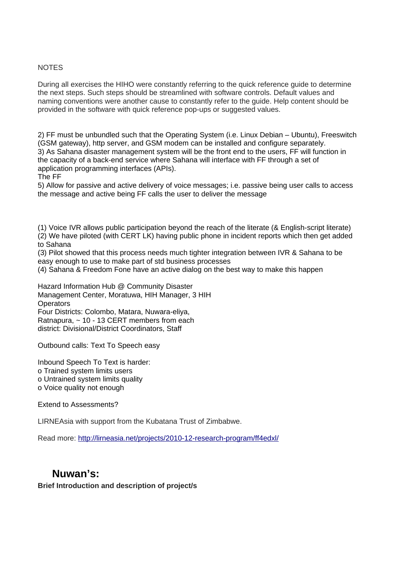## **NOTES**

During all exercises the HIHO were constantly referring to the quick reference guide to determine the next steps. Such steps should be streamlined with software controls. Default values and naming conventions were another cause to constantly refer to the guide. Help content should be provided in the software with quick reference pop-ups or suggested values.

2) FF must be unbundled such that the Operating System (i.e. Linux Debian – Ubuntu), Freeswitch (GSM gateway), http server, and GSM modem can be installed and configure separately. 3) As Sahana disaster management system will be the front end to the users, FF will function in the capacity of a back-end service where Sahana will interface with FF through a set of application programming interfaces (APIs).

The FF

5) Allow for passive and active delivery of voice messages; i.e. passive being user calls to access the message and active being FF calls the user to deliver the message

(1) Voice IVR allows public participation beyond the reach of the literate (& English-script literate) (2) We have piloted (with CERT LK) having public phone in incident reports which then get added to Sahana

(3) Pilot showed that this process needs much tighter integration between IVR & Sahana to be easy enough to use to make part of std business processes

(4) Sahana & Freedom Fone have an active dialog on the best way to make this happen

Hazard Information Hub @ Community Disaster Management Center, Moratuwa, HIH Manager, 3 HIH **Operators** Four Districts: Colombo, Matara, Nuwara-eliya, Ratnapura, ~ 10 - 13 CERT members from each district: Divisional/District Coordinators, Staff

Outbound calls: Text To Speech easy

Inbound Speech To Text is harder: o Trained system limits users o Untrained system limits quality o Voice quality not enough

Extend to Assessments?

LIRNEAsia with support from the Kubatana Trust of Zimbabwe.

Read more: http://lirneasia.net/projects/2010-12-research-program/ff4edxl/

# **Nuwan's:**

**Brief Introduction and description of project/s**